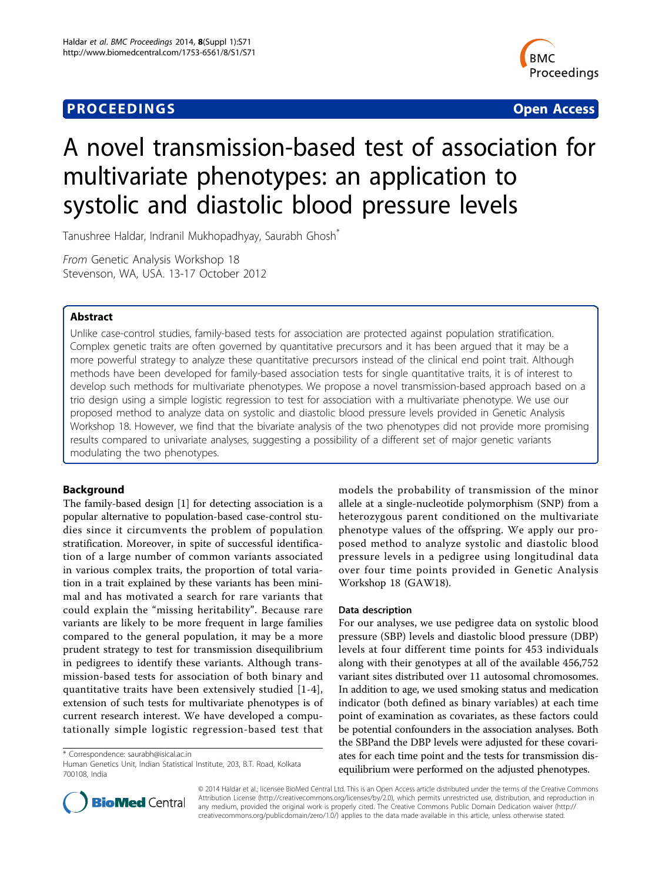## **PROCEEDINGS STATES CONSUMING S** Open Access **CONSUMING S**



# A novel transmission-based test of association for multivariate phenotypes: an application to systolic and diastolic blood pressure levels

Tanushree Haldar, Indranil Mukhopadhyay, Saurabh Ghosh\*

From Genetic Analysis Workshop 18 Stevenson, WA, USA. 13-17 October 2012

## Abstract

Unlike case-control studies, family-based tests for association are protected against population stratification. Complex genetic traits are often governed by quantitative precursors and it has been argued that it may be a more powerful strategy to analyze these quantitative precursors instead of the clinical end point trait. Although methods have been developed for family-based association tests for single quantitative traits, it is of interest to develop such methods for multivariate phenotypes. We propose a novel transmission-based approach based on a trio design using a simple logistic regression to test for association with a multivariate phenotype. We use our proposed method to analyze data on systolic and diastolic blood pressure levels provided in Genetic Analysis Workshop 18. However, we find that the bivariate analysis of the two phenotypes did not provide more promising results compared to univariate analyses, suggesting a possibility of a different set of major genetic variants modulating the two phenotypes.

## Background

The family-based design [[1\]](#page-2-0) for detecting association is a popular alternative to population-based case-control studies since it circumvents the problem of population stratification. Moreover, in spite of successful identification of a large number of common variants associated in various complex traits, the proportion of total variation in a trait explained by these variants has been minimal and has motivated a search for rare variants that could explain the "missing heritability". Because rare variants are likely to be more frequent in large families compared to the general population, it may be a more prudent strategy to test for transmission disequilibrium in pedigrees to identify these variants. Although transmission-based tests for association of both binary and quantitative traits have been extensively studied [[1](#page-2-0)-[4](#page-3-0)], extension of such tests for multivariate phenotypes is of current research interest. We have developed a computationally simple logistic regression-based test that

\* Correspondence: [saurabh@isical.ac.in](mailto:saurabh@isical.ac.in)

models the probability of transmission of the minor allele at a single-nucleotide polymorphism (SNP) from a heterozygous parent conditioned on the multivariate phenotype values of the offspring. We apply our proposed method to analyze systolic and diastolic blood pressure levels in a pedigree using longitudinal data over four time points provided in Genetic Analysis Workshop 18 (GAW18).

## Data description

For our analyses, we use pedigree data on systolic blood pressure (SBP) levels and diastolic blood pressure (DBP) levels at four different time points for 453 individuals along with their genotypes at all of the available 456,752 variant sites distributed over 11 autosomal chromosomes. In addition to age, we used smoking status and medication indicator (both defined as binary variables) at each time point of examination as covariates, as these factors could be potential confounders in the association analyses. Both the SBPand the DBP levels were adjusted for these covariates for each time point and the tests for transmission disequilibrium were performed on the adjusted phenotypes.



© 2014 Haldar et al.; licensee BioMed Central Ltd. This is an Open Access article distributed under the terms of the Creative Commons Attribution License [\(http://creativecommons.org/licenses/by/2.0](http://creativecommons.org/licenses/by/2.0)), which permits unrestricted use, distribution, and reproduction in any medium, provided the original work is properly cited. The Creative Commons Public Domain Dedication waiver [\(http://](http://creativecommons.org/publicdomain/zero/1.0/) [creativecommons.org/publicdomain/zero/1.0/](http://creativecommons.org/publicdomain/zero/1.0/)) applies to the data made available in this article, unless otherwise stated.

Human Genetics Unit, Indian Statistical Institute, 203, B.T. Road, Kolkata 700108, India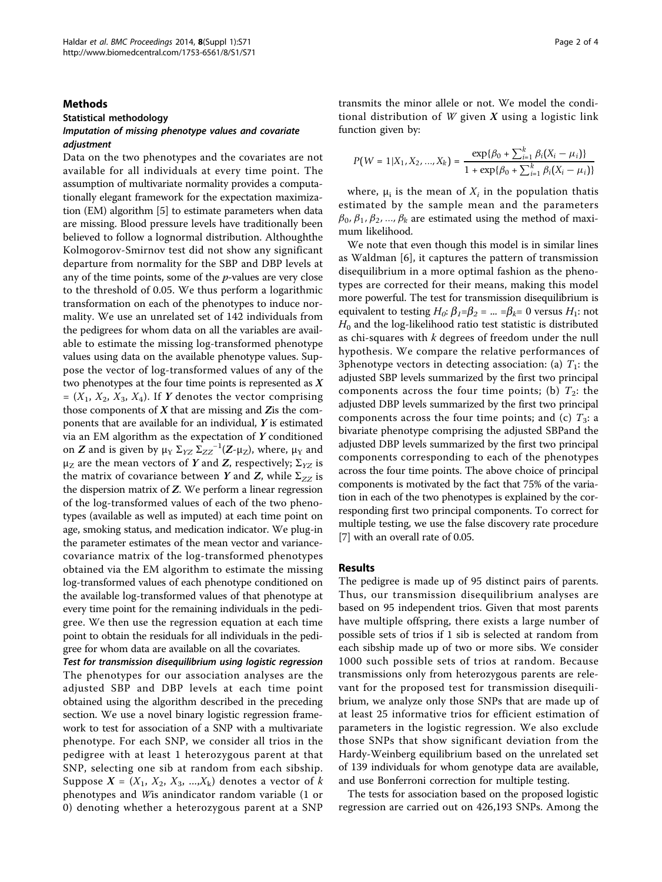## Methods

Statistical methodology

## Imputation of missing phenotype values and covariate adjustment

Data on the two phenotypes and the covariates are not available for all individuals at every time point. The assumption of multivariate normality provides a computationally elegant framework for the expectation maximization (EM) algorithm [[5\]](#page-3-0) to estimate parameters when data are missing. Blood pressure levels have traditionally been believed to follow a lognormal distribution. Althoughthe Kolmogorov-Smirnov test did not show any significant departure from normality for the SBP and DBP levels at any of the time points, some of the  $p$ -values are very close to the threshold of 0.05. We thus perform a logarithmic transformation on each of the phenotypes to induce normality. We use an unrelated set of 142 individuals from the pedigrees for whom data on all the variables are available to estimate the missing log-transformed phenotype values using data on the available phenotype values. Suppose the vector of log-transformed values of any of the two phenotypes at the four time points is represented as  $X$  $=(X_1, X_2, X_3, X_4)$ . If Y denotes the vector comprising those components of  $X$  that are missing and  $Z$  is the components that are available for an individual, Y is estimated via an EM algorithm as the expectation of Y conditioned on **Z** and is given by  $\mu_Y \Sigma_{YZ} \Sigma_{ZZ}^{-1}$  (**Z**- $\mu_Z$ ), where,  $\mu_Y$  and  $\mu_Z$  are the mean vectors of Y and Z, respectively;  $\Sigma_{YZ}$  is the matrix of covariance between Y and Z, while  $\Sigma_{ZZ}$  is the dispersion matrix of Z. We perform a linear regression of the log-transformed values of each of the two phenotypes (available as well as imputed) at each time point on age, smoking status, and medication indicator. We plug-in the parameter estimates of the mean vector and variancecovariance matrix of the log-transformed phenotypes obtained via the EM algorithm to estimate the missing log-transformed values of each phenotype conditioned on the available log-transformed values of that phenotype at every time point for the remaining individuals in the pedigree. We then use the regression equation at each time point to obtain the residuals for all individuals in the pedigree for whom data are available on all the covariates.

Test for transmission disequilibrium using logistic regression The phenotypes for our association analyses are the adjusted SBP and DBP levels at each time point obtained using the algorithm described in the preceding section. We use a novel binary logistic regression framework to test for association of a SNP with a multivariate phenotype. For each SNP, we consider all trios in the pedigree with at least 1 heterozygous parent at that SNP, selecting one sib at random from each sibship. Suppose  $X = (X_1, X_2, X_3, ..., X_k)$  denotes a vector of k phenotypes and Wis anindicator random variable (1 or 0) denoting whether a heterozygous parent at a SNP transmits the minor allele or not. We model the conditional distribution of W given  $X$  using a logistic link function given by:

$$
P(W = 1 | X_1, X_2, ..., X_k) = \frac{\exp\{\beta_0 + \sum_{i=1}^k \beta_i (X_i - \mu_i)\}}{1 + \exp\{\beta_0 + \sum_{i=1}^k \beta_i (X_i - \mu_i)\}}
$$

where,  $\mu_i$  is the mean of  $X_i$  in the population thatis estimated by the sample mean and the parameters  $\beta_0$ ,  $\beta_1$ ,  $\beta_2$ , ...,  $\beta_k$  are estimated using the method of maximum likelihood.

We note that even though this model is in similar lines as Waldman [\[6](#page-3-0)], it captures the pattern of transmission disequilibrium in a more optimal fashion as the phenotypes are corrected for their means, making this model more powerful. The test for transmission disequilibrium is equivalent to testing  $H_0: \beta_1 = \beta_2 = ... = \beta_k = 0$  versus  $H_1$ : not  $H_0$  and the log-likelihood ratio test statistic is distributed as chi-squares with  $k$  degrees of freedom under the null hypothesis. We compare the relative performances of 3phenotype vectors in detecting association: (a)  $T_1$ : the adjusted SBP levels summarized by the first two principal components across the four time points; (b)  $T_2$ : the adjusted DBP levels summarized by the first two principal components across the four time points; and (c)  $T_3$ : a bivariate phenotype comprising the adjusted SBPand the adjusted DBP levels summarized by the first two principal components corresponding to each of the phenotypes across the four time points. The above choice of principal components is motivated by the fact that 75% of the variation in each of the two phenotypes is explained by the corresponding first two principal components. To correct for multiple testing, we use the false discovery rate procedure [[7\]](#page-3-0) with an overall rate of 0.05.

### Results

The pedigree is made up of 95 distinct pairs of parents. Thus, our transmission disequilibrium analyses are based on 95 independent trios. Given that most parents have multiple offspring, there exists a large number of possible sets of trios if 1 sib is selected at random from each sibship made up of two or more sibs. We consider 1000 such possible sets of trios at random. Because transmissions only from heterozygous parents are relevant for the proposed test for transmission disequilibrium, we analyze only those SNPs that are made up of at least 25 informative trios for efficient estimation of parameters in the logistic regression. We also exclude those SNPs that show significant deviation from the Hardy-Weinberg equilibrium based on the unrelated set of 139 individuals for whom genotype data are available, and use Bonferroni correction for multiple testing.

The tests for association based on the proposed logistic regression are carried out on 426,193 SNPs. Among the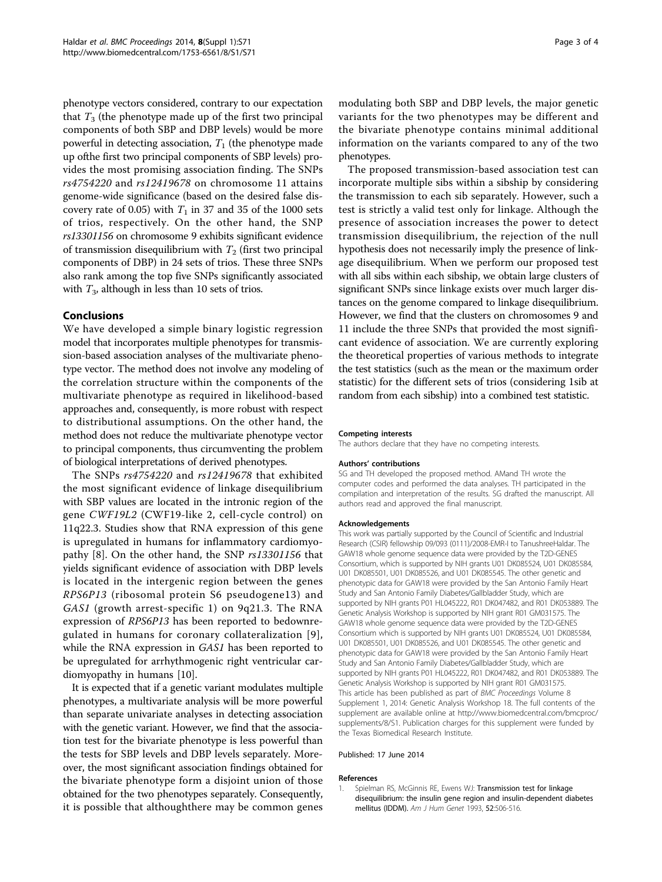<span id="page-2-0"></span>phenotype vectors considered, contrary to our expectation that  $T_3$  (the phenotype made up of the first two principal components of both SBP and DBP levels) would be more powerful in detecting association,  $T_1$  (the phenotype made up ofthe first two principal components of SBP levels) provides the most promising association finding. The SNPs rs4754220 and rs12419678 on chromosome 11 attains genome-wide significance (based on the desired false discovery rate of 0.05) with  $T_1$  in 37 and 35 of the 1000 sets of trios, respectively. On the other hand, the SNP rs13301156 on chromosome 9 exhibits significant evidence of transmission disequilibrium with  $T_2$  (first two principal components of DBP) in 24 sets of trios. These three SNPs also rank among the top five SNPs significantly associated with  $T_3$ , although in less than 10 sets of trios.

## Conclusions

We have developed a simple binary logistic regression model that incorporates multiple phenotypes for transmission-based association analyses of the multivariate phenotype vector. The method does not involve any modeling of the correlation structure within the components of the multivariate phenotype as required in likelihood-based approaches and, consequently, is more robust with respect to distributional assumptions. On the other hand, the method does not reduce the multivariate phenotype vector to principal components, thus circumventing the problem of biological interpretations of derived phenotypes.

The SNPs rs4754220 and rs12419678 that exhibited the most significant evidence of linkage disequilibrium with SBP values are located in the intronic region of the gene CWF19L2 (CWF19-like 2, cell-cycle control) on 11q22.3. Studies show that RNA expression of this gene is upregulated in humans for inflammatory cardiomyopathy [\[8](#page-3-0)]. On the other hand, the SNP rs13301156 that yields significant evidence of association with DBP levels is located in the intergenic region between the genes RPS6P13 (ribosomal protein S6 pseudogene13) and GAS1 (growth arrest-specific 1) on 9q21.3. The RNA expression of RPS6P13 has been reported to bedownregulated in humans for coronary collateralization [[9\]](#page-3-0), while the RNA expression in GAS1 has been reported to be upregulated for arrhythmogenic right ventricular cardiomyopathy in humans [[10](#page-3-0)].

It is expected that if a genetic variant modulates multiple phenotypes, a multivariate analysis will be more powerful than separate univariate analyses in detecting association with the genetic variant. However, we find that the association test for the bivariate phenotype is less powerful than the tests for SBP levels and DBP levels separately. Moreover, the most significant association findings obtained for the bivariate phenotype form a disjoint union of those obtained for the two phenotypes separately. Consequently, it is possible that althoughthere may be common genes

modulating both SBP and DBP levels, the major genetic variants for the two phenotypes may be different and the bivariate phenotype contains minimal additional information on the variants compared to any of the two phenotypes.

The proposed transmission-based association test can incorporate multiple sibs within a sibship by considering the transmission to each sib separately. However, such a test is strictly a valid test only for linkage. Although the presence of association increases the power to detect transmission disequilibrium, the rejection of the null hypothesis does not necessarily imply the presence of linkage disequilibrium. When we perform our proposed test with all sibs within each sibship, we obtain large clusters of significant SNPs since linkage exists over much larger distances on the genome compared to linkage disequilibrium. However, we find that the clusters on chromosomes 9 and 11 include the three SNPs that provided the most significant evidence of association. We are currently exploring the theoretical properties of various methods to integrate the test statistics (such as the mean or the maximum order statistic) for the different sets of trios (considering 1sib at random from each sibship) into a combined test statistic.

#### Competing interests

The authors declare that they have no competing interests.

#### Authors' contributions

SG and TH developed the proposed method. AMand TH wrote the computer codes and performed the data analyses. TH participated in the compilation and interpretation of the results. SG drafted the manuscript. All authors read and approved the final manuscript.

#### Acknowledgements

This work was partially supported by the Council of Scientific and Industrial Research (CSIR) fellowship 09/093 (0111)/2008-EMR-I to TanushreeHaldar. The GAW18 whole genome sequence data were provided by the T2D-GENES Consortium, which is supported by NIH grants U01 DK085524, U01 DK085584, U01 DK085501, U01 DK085526, and U01 DK085545. The other genetic and phenotypic data for GAW18 were provided by the San Antonio Family Heart Study and San Antonio Family Diabetes/Gallbladder Study, which are supported by NIH grants P01 HL045222, R01 DK047482, and R01 DK053889. The Genetic Analysis Workshop is supported by NIH grant R01 GM031575. The GAW18 whole genome sequence data were provided by the T2D-GENES Consortium which is supported by NIH grants U01 DK085524, U01 DK085584, U01 DK085501, U01 DK085526, and U01 DK085545. The other genetic and phenotypic data for GAW18 were provided by the San Antonio Family Heart Study and San Antonio Family Diabetes/Gallbladder Study, which are supported by NIH grants P01 HL045222, R01 DK047482, and R01 DK053889. The Genetic Analysis Workshop is supported by NIH grant R01 GM031575. This article has been published as part of BMC Proceedings Volume 8 Supplement 1, 2014: Genetic Analysis Workshop 18. The full contents of the supplement are available online at [http://www.biomedcentral.com/bmcproc/](http://www.biomedcentral.com/bmcproc/supplements/8/S1) [supplements/8/S1.](http://www.biomedcentral.com/bmcproc/supplements/8/S1) Publication charges for this supplement were funded by the Texas Biomedical Research Institute.

### Published: 17 June 2014

#### References

1. Spielman RS, McGinnis RE, Ewens WJ: [Transmission test for linkage](http://www.ncbi.nlm.nih.gov/pubmed/8447318?dopt=Abstract) [disequilibrium: the insulin gene region and insulin-dependent diabetes](http://www.ncbi.nlm.nih.gov/pubmed/8447318?dopt=Abstract) [mellitus \(IDDM\).](http://www.ncbi.nlm.nih.gov/pubmed/8447318?dopt=Abstract) Am J Hum Genet 1993, 52:506-516.